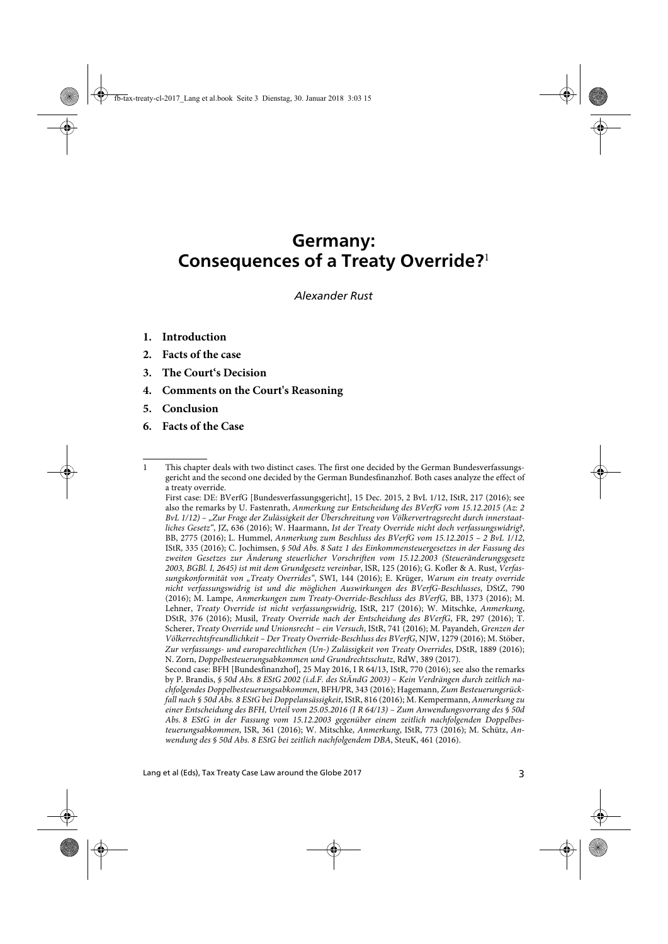## **Germany: Consequences of a Treaty Override?**<sup>1</sup>

*Alexander Rust*

- **1. Introduction**
- **2. Facts of the case**
- **3. The Court's Decision**
- **4. Comments on the Court's Reasoning**
- **5. Conclusion**
- **6. Facts of the Case**

<sup>1</sup> This chapter deals with two distinct cases. The first one decided by the German Bundesverfassungsgericht and the second one decided by the German Bundesfinanzhof. Both cases analyze the effect of a treaty override.

First case: DE: BVerfG [Bundesverfassungsgericht], 15 Dec. 2015, 2 BvL 1/12, IStR, 217 (2016); see also the remarks by U. Fastenrath, Anmerkung zur Entscheidung des BVerfG vom 15.12.2015 (Az: 2 BvL 1/12) – "Zur Frage der Zulässigkeit der Überschreitung von Völkervertragsrecht durch innerstaatliches Gesetz", JZ, 636 (2016); W. Haarmann, Ist der Treaty Override nicht doch verfassungswidrig?, BB, 2775 (2016); L. Hummel, Anmerkung zum Beschluss des BVerfG vom 15.12.2015 – 2 BvL 1/12, IStR, 335 (2016); C. Jochimsen, § 50d Abs. 8 Satz 1 des Einkommensteuergesetzes in der Fassung des zweiten Gesetzes zur Änderung steuerlicher Vorschriften vom 15.12.2003 (Steueränderungsgesetz 2003, BGBl. I, 2645) ist mit dem Grundgesetz vereinbar, ISR, 125 (2016); G. Kofler & A. Rust, Verfassungskonformität von "Treaty Overrides", SWI, 144 (2016); E. Krüger, Warum ein treaty override nicht verfassungswidrig ist und die möglichen Auswirkungen des BVerfG-Beschlusses, DStZ, 790 (2016); M. Lampe, Anmerkungen zum Treaty-Override-Beschluss des BVerfG, BB, 1373 (2016); M. Lehner, Treaty Override ist nicht verfassungswidrig, IStR, 217 (2016); W. Mitschke, Anmerkung, DStR, 376 (2016); Musil, Treaty Override nach der Entscheidung des BVerfG, FR, 297 (2016); T. Scherer, Treaty Override und Unionsrecht – ein Versuch, IStR, 741 (2016); M. Payandeh, Grenzen der Völkerrechtsfreundlichkeit – Der Treaty Override-Beschluss des BVerfG, NJW, 1279 (2016); M. Stöber, Zur verfassungs- und europarechtlichen (Un-) Zulässigkeit von Treaty Overrides, DStR, 1889 (2016); N. Zorn, Doppelbesteuerungsabkommen und Grundrechtsschutz, RdW, 389 (2017).

Second case: BFH [Bundesfinanzhof], 25 May 2016, I R 64/13, IStR, 770 (2016); see also the remarks by P. Brandis, § 50d Abs. 8 EStG 2002 (i.d.F. des StÄndG 2003) – Kein Verdrängen durch zeitlich nachfolgendes Doppelbesteuerungsabkommen, BFH/PR, 343 (2016); Hagemann, Zum Besteuerungsrückfall nach § 50d Abs. 8 EStG bei Doppelansässigkeit, IStR, 816 (2016); M. Kempermann, Anmerkung zu einer Entscheidung des BFH, Urteil vom 25.05.2016 (I R 64/13) – Zum Anwendungsvorrang des § 50d Abs. 8 EStG in der Fassung vom 15.12.2003 gegenüber einem zeitlich nachfolgenden Doppelbesteuerungsabkommen, ISR, 361 (2016); W. Mitschke, Anmerkung, IStR, 773 (2016); M. Schütz, Anwendung des § 50d Abs. 8 EStG bei zeitlich nachfolgendem DBA, SteuK, 461 (2016).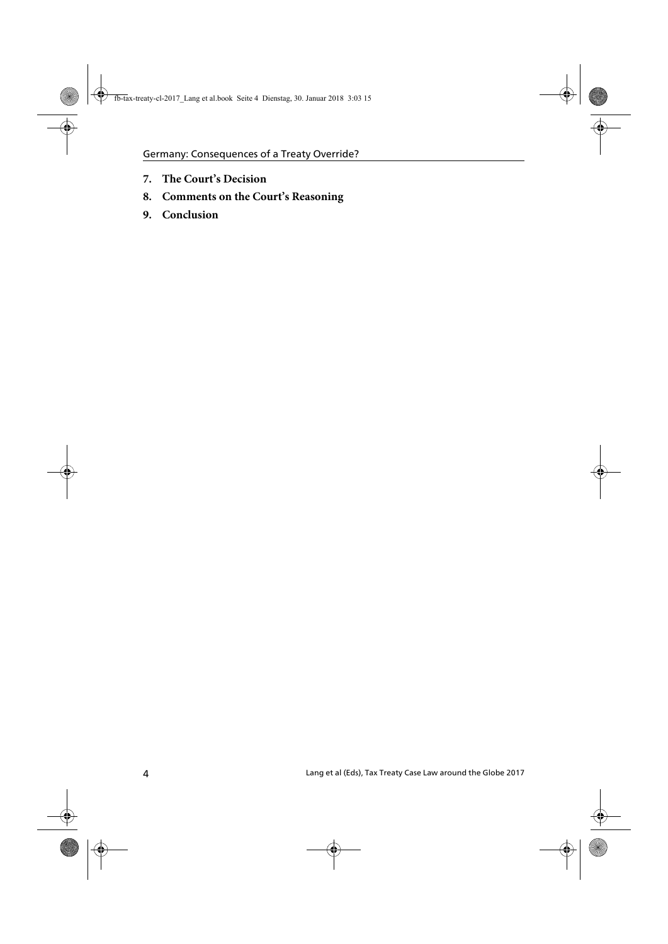- **7. The Court's Decision**
- **8. Comments on the Court's Reasoning**
- **9. Conclusion**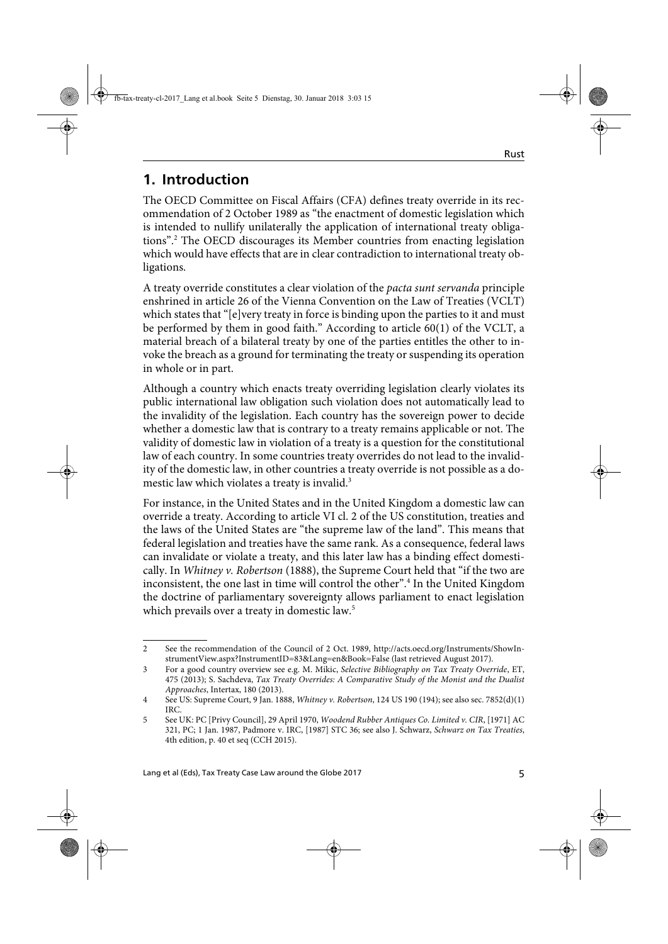### **1. Introduction**

The OECD Committee on Fiscal Affairs (CFA) defines treaty override in its recommendation of 2 October 1989 as "the enactment of domestic legislation which is intended to nullify unilaterally the application of international treaty obligations".2 The OECD discourages its Member countries from enacting legislation which would have effects that are in clear contradiction to international treaty obligations.

A treaty override constitutes a clear violation of the pacta sunt servanda principle enshrined in article 26 of the Vienna Convention on the Law of Treaties (VCLT) which states that "[e]very treaty in force is binding upon the parties to it and must be performed by them in good faith." According to article 60(1) of the VCLT, a material breach of a bilateral treaty by one of the parties entitles the other to invoke the breach as a ground for terminating the treaty or suspending its operation in whole or in part.

Although a country which enacts treaty overriding legislation clearly violates its public international law obligation such violation does not automatically lead to the invalidity of the legislation. Each country has the sovereign power to decide whether a domestic law that is contrary to a treaty remains applicable or not. The validity of domestic law in violation of a treaty is a question for the constitutional law of each country. In some countries treaty overrides do not lead to the invalidity of the domestic law, in other countries a treaty override is not possible as a domestic law which violates a treaty is invalid.<sup>3</sup>

For instance, in the United States and in the United Kingdom a domestic law can override a treaty. According to article VI cl. 2 of the US constitution, treaties and the laws of the United States are "the supreme law of the land". This means that federal legislation and treaties have the same rank. As a consequence, federal laws can invalidate or violate a treaty, and this later law has a binding effect domestically. In *Whitney v. Robertson* (1888), the Supreme Court held that "if the two are inconsistent, the one last in time will control the other".<sup>4</sup> In the United Kingdom the doctrine of parliamentary sovereignty allows parliament to enact legislation which prevails over a treaty in domestic law.<sup>5</sup>

<sup>2</sup> See the recommendation of the Council of 2 Oct. 1989, http://acts.oecd.org/Instruments/ShowInstrumentView.aspx?InstrumentID=83&Lang=en&Book=False (last retrieved August 2017).

<sup>3</sup> For a good country overview see e.g. M. Mikic, Selective Bibliography on Tax Treaty Override, ET, 475 (2013); S. Sachdeva, Tax Treaty Overrides: A Comparative Study of the Monist and the Dualist Approaches, Intertax, 180 (2013).

<sup>4</sup> See US: Supreme Court, 9 Jan. 1888, Whitney v. Robertson, 124 US 190 (194); see also sec. 7852(d)(1) IRC.

<sup>5</sup> See UK: PC [Privy Council], 29 April 1970, Woodend Rubber Antiques Co. Limited v. CIR, [1971] AC 321, PC; 1 Jan. 1987, Padmore v. IRC, [1987] STC 36; see also J. Schwarz, Schwarz on Tax Treaties, 4th edition, p. 40 et seq (CCH 2015).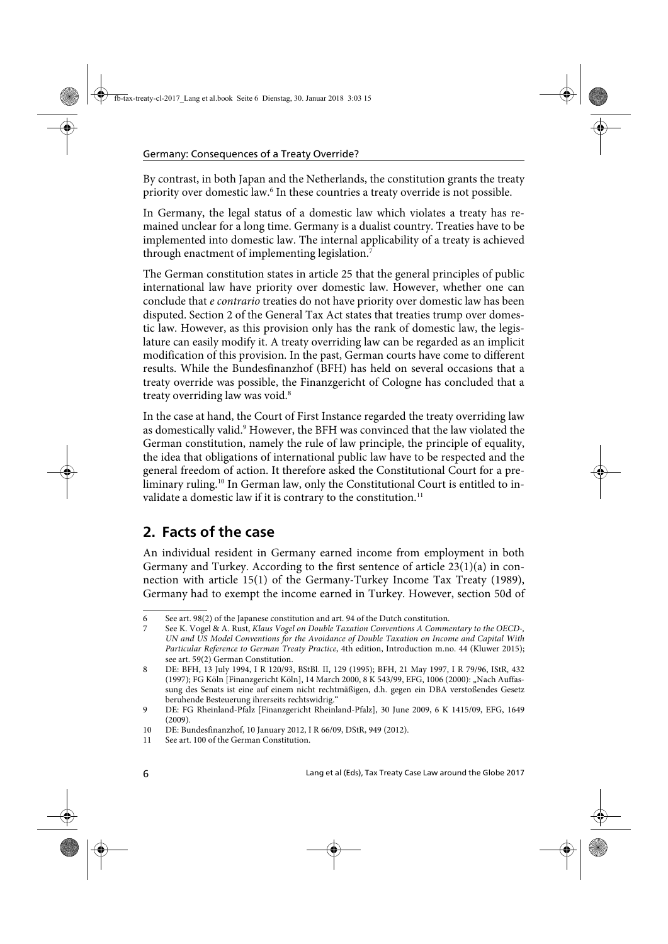By contrast, in both Japan and the Netherlands, the constitution grants the treaty priority over domestic law.<sup>6</sup> In these countries a treaty override is not possible.

In Germany, the legal status of a domestic law which violates a treaty has remained unclear for a long time. Germany is a dualist country. Treaties have to be implemented into domestic law. The internal applicability of a treaty is achieved through enactment of implementing legislation.<sup>7</sup>

The German constitution states in article 25 that the general principles of public international law have priority over domestic law. However, whether one can conclude that e contrario treaties do not have priority over domestic law has been disputed. Section 2 of the General Tax Act states that treaties trump over domestic law. However, as this provision only has the rank of domestic law, the legislature can easily modify it. A treaty overriding law can be regarded as an implicit modification of this provision. In the past, German courts have come to different results. While the Bundesfinanzhof (BFH) has held on several occasions that a treaty override was possible, the Finanzgericht of Cologne has concluded that a treaty overriding law was void.<sup>8</sup>

In the case at hand, the Court of First Instance regarded the treaty overriding law as domestically valid.<sup>9</sup> However, the BFH was convinced that the law violated the German constitution, namely the rule of law principle, the principle of equality, the idea that obligations of international public law have to be respected and the general freedom of action. It therefore asked the Constitutional Court for a preliminary ruling.<sup>10</sup> In German law, only the Constitutional Court is entitled to invalidate a domestic law if it is contrary to the constitution.<sup>11</sup>

### **2. Facts of the case**

An individual resident in Germany earned income from employment in both Germany and Turkey. According to the first sentence of article 23(1)(a) in connection with article 15(1) of the Germany-Turkey Income Tax Treaty (1989), Germany had to exempt the income earned in Turkey. However, section 50d of

<sup>6</sup> See art. 98(2) of the Japanese constitution and art. 94 of the Dutch constitution.

<sup>7</sup> See K. Vogel & A. Rust, Klaus Vogel on Double Taxation Conventions A Commentary to the OECD-, UN and US Model Conventions for the Avoidance of Double Taxation on Income and Capital With Particular Reference to German Treaty Practice, 4th edition, Introduction m.no. 44 (Kluwer 2015); see art. 59(2) German Constitution.

<sup>8</sup> DE: BFH, 13 July 1994, I R 120/93, BStBl. II, 129 (1995); BFH, 21 May 1997, I R 79/96, IStR, 432 (1997); FG Köln [Finanzgericht Köln], 14 March 2000, 8 K 543/99, EFG, 1006 (2000): "Nach Auffassung des Senats ist eine auf einem nicht rechtmäßigen, d.h. gegen ein DBA verstoßendes Gesetz beruhende Besteuerung ihrerseits rechtswidrig."

<sup>9</sup> DE: FG Rheinland-Pfalz [Finanzgericht Rheinland-Pfalz], 30 June 2009, 6 K 1415/09, EFG, 1649 (2009).

<sup>10</sup> DE: Bundesfinanzhof, 10 January 2012, I R 66/09, DStR, 949 (2012).

<sup>11</sup> See art. 100 of the German Constitution.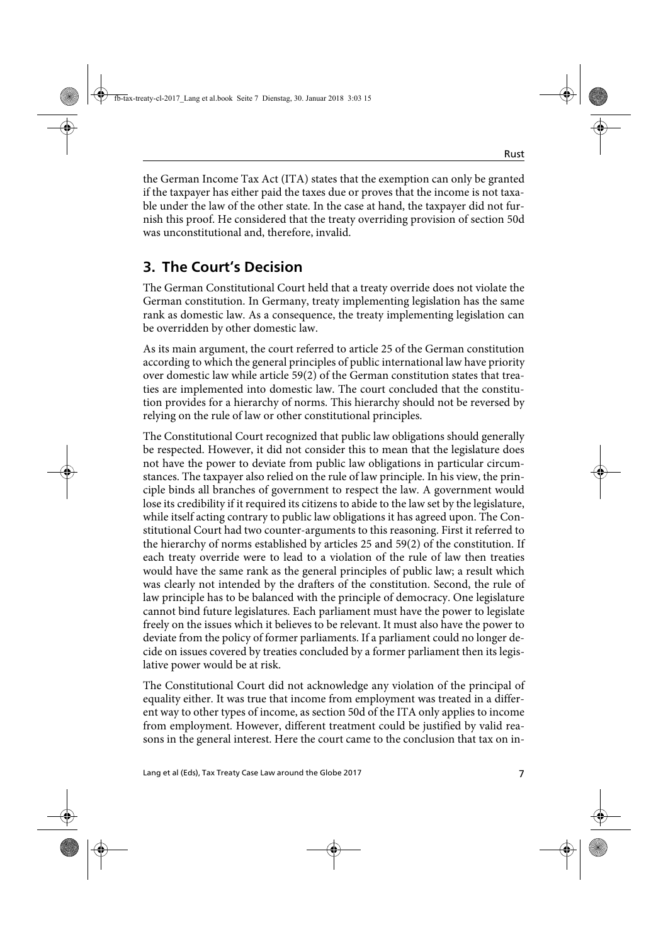the German Income Tax Act (ITA) states that the exemption can only be granted if the taxpayer has either paid the taxes due or proves that the income is not taxable under the law of the other state. In the case at hand, the taxpayer did not furnish this proof. He considered that the treaty overriding provision of section 50d was unconstitutional and, therefore, invalid.

### **3. The Court's Decision**

The German Constitutional Court held that a treaty override does not violate the German constitution. In Germany, treaty implementing legislation has the same rank as domestic law. As a consequence, the treaty implementing legislation can be overridden by other domestic law.

As its main argument, the court referred to article 25 of the German constitution according to which the general principles of public international law have priority over domestic law while article 59(2) of the German constitution states that treaties are implemented into domestic law. The court concluded that the constitution provides for a hierarchy of norms. This hierarchy should not be reversed by relying on the rule of law or other constitutional principles.

The Constitutional Court recognized that public law obligations should generally be respected. However, it did not consider this to mean that the legislature does not have the power to deviate from public law obligations in particular circumstances. The taxpayer also relied on the rule of law principle. In his view, the principle binds all branches of government to respect the law. A government would lose its credibility if it required its citizens to abide to the law set by the legislature, while itself acting contrary to public law obligations it has agreed upon. The Constitutional Court had two counter-arguments to this reasoning. First it referred to the hierarchy of norms established by articles 25 and 59(2) of the constitution. If each treaty override were to lead to a violation of the rule of law then treaties would have the same rank as the general principles of public law; a result which was clearly not intended by the drafters of the constitution. Second, the rule of law principle has to be balanced with the principle of democracy. One legislature cannot bind future legislatures. Each parliament must have the power to legislate freely on the issues which it believes to be relevant. It must also have the power to deviate from the policy of former parliaments. If a parliament could no longer decide on issues covered by treaties concluded by a former parliament then its legislative power would be at risk.

The Constitutional Court did not acknowledge any violation of the principal of equality either. It was true that income from employment was treated in a different way to other types of income, as section 50d of the ITA only applies to income from employment. However, different treatment could be justified by valid reasons in the general interest. Here the court came to the conclusion that tax on in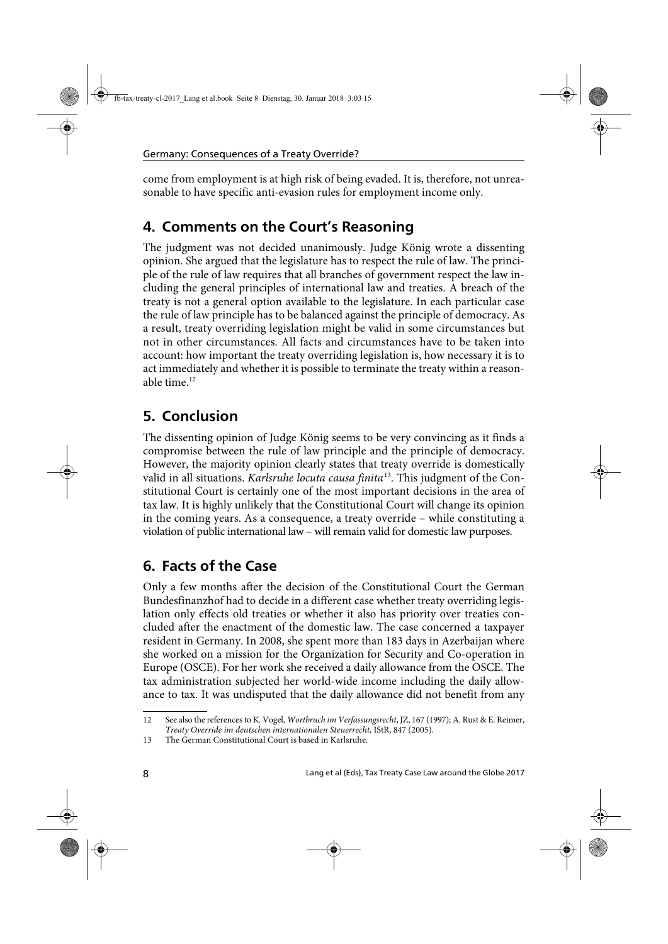come from employment is at high risk of being evaded. It is, therefore, not unreasonable to have specific anti-evasion rules for employment income only.

#### **4. Comments on the Court's Reasoning**

The judgment was not decided unanimously. Judge König wrote a dissenting opinion. She argued that the legislature has to respect the rule of law. The principle of the rule of law requires that all branches of government respect the law including the general principles of international law and treaties. A breach of the treaty is not a general option available to the legislature. In each particular case the rule of law principle has to be balanced against the principle of democracy. As a result, treaty overriding legislation might be valid in some circumstances but not in other circumstances. All facts and circumstances have to be taken into account: how important the treaty overriding legislation is, how necessary it is to act immediately and whether it is possible to terminate the treaty within a reasonable time.12

## **5. Conclusion**

The dissenting opinion of Judge König seems to be very convincing as it finds a compromise between the rule of law principle and the principle of democracy. However, the majority opinion clearly states that treaty override is domestically valid in all situations. Karlsruhe locuta causa finita<sup>13</sup>. This judgment of the Constitutional Court is certainly one of the most important decisions in the area of tax law. It is highly unlikely that the Constitutional Court will change its opinion in the coming years. As a consequence, a treaty override – while constituting a violation of public international law – will remain valid for domestic law purposes.

## **6. Facts of the Case**

Only a few months after the decision of the Constitutional Court the German Bundesfinanzhof had to decide in a different case whether treaty overriding legislation only effects old treaties or whether it also has priority over treaties concluded after the enactment of the domestic law. The case concerned a taxpayer resident in Germany. In 2008, she spent more than 183 days in Azerbaijan where she worked on a mission for the Organization for Security and Co-operation in Europe (OSCE). For her work she received a daily allowance from the OSCE. The tax administration subjected her world-wide income including the daily allowance to tax. It was undisputed that the daily allowance did not benefit from any

<sup>12</sup> See also the references to K. Vogel, Wortbruch im Verfassungsrecht, JZ, 167 (1997); A. Rust & E. Reimer, Treaty Override im deutschen internationalen Steuerrecht, IStR, 847 (2005).

<sup>13</sup> The German Constitutional Court is based in Karlsruhe.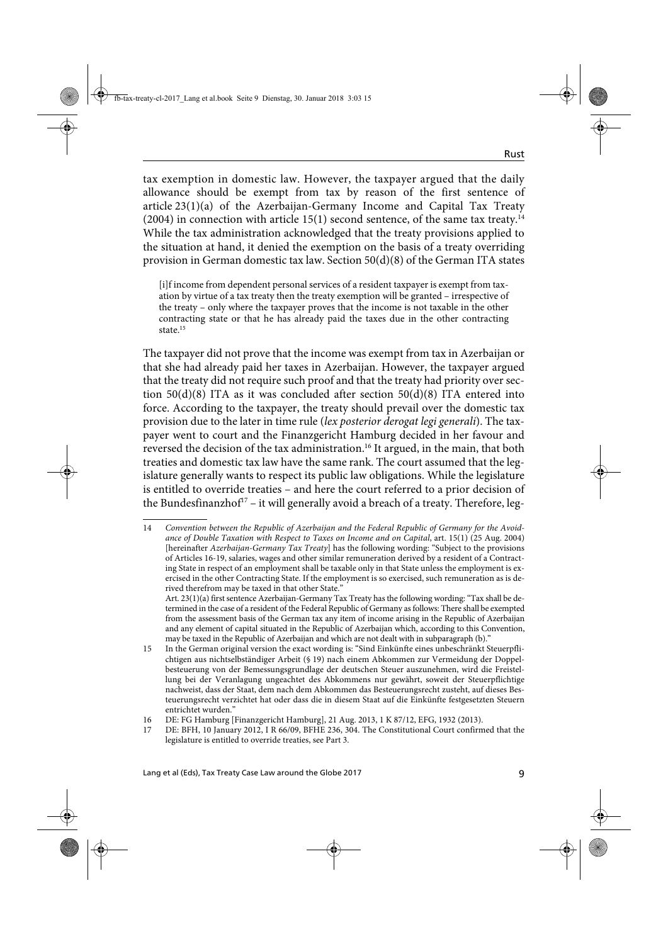tax exemption in domestic law. However, the taxpayer argued that the daily allowance should be exempt from tax by reason of the first sentence of article 23(1)(a) of the Azerbaijan-Germany Income and Capital Tax Treaty  $(2004)$  in connection with article 15(1) second sentence, of the same tax treaty.<sup>14</sup> While the tax administration acknowledged that the treaty provisions applied to the situation at hand, it denied the exemption on the basis of a treaty overriding provision in German domestic tax law. Section 50(d)(8) of the German ITA states

[i]f income from dependent personal services of a resident taxpayer is exempt from taxation by virtue of a tax treaty then the treaty exemption will be granted – irrespective of the treaty – only where the taxpayer proves that the income is not taxable in the other contracting state or that he has already paid the taxes due in the other contracting state.<sup>15</sup>

The taxpayer did not prove that the income was exempt from tax in Azerbaijan or that she had already paid her taxes in Azerbaijan. However, the taxpayer argued that the treaty did not require such proof and that the treaty had priority over section 50(d)(8) ITA as it was concluded after section 50(d)(8) ITA entered into force. According to the taxpayer, the treaty should prevail over the domestic tax provision due to the later in time rule (lex posterior derogat legi generali). The taxpayer went to court and the Finanzgericht Hamburg decided in her favour and reversed the decision of the tax administration.<sup>16</sup> It argued, in the main, that both treaties and domestic tax law have the same rank. The court assumed that the legislature generally wants to respect its public law obligations. While the legislature is entitled to override treaties – and here the court referred to a prior decision of the Bundesfinanzhof<sup>17</sup> – it will generally avoid a breach of a treaty. Therefore, leg-

<sup>14</sup> Convention between the Republic of Azerbaijan and the Federal Republic of Germany for the Avoidance of Double Taxation with Respect to Taxes on Income and on Capital, art. 15(1) (25 Aug. 2004) [hereinafter Azerbaijan-Germany Tax Treaty] has the following wording: "Subject to the provisions of Articles 16-19, salaries, wages and other similar remuneration derived by a resident of a Contracting State in respect of an employment shall be taxable only in that State unless the employment is exercised in the other Contracting State. If the employment is so exercised, such remuneration as is derived therefrom may be taxed in that other State."

Art. 23(1)(a) first sentence Azerbaijan-Germany Tax Treaty has the following wording: "Tax shall be determined in the case of a resident of the Federal Republic of Germany as follows: There shall be exempted from the assessment basis of the German tax any item of income arising in the Republic of Azerbaijan and any element of capital situated in the Republic of Azerbaijan which, according to this Convention, may be taxed in the Republic of Azerbaijan and which are not dealt with in subparagraph (b)."

<sup>15</sup> In the German original version the exact wording is: "Sind Einkünfte eines unbeschränkt Steuerpflichtigen aus nichtselbständiger Arbeit (§ 19) nach einem Abkommen zur Vermeidung der Doppelbesteuerung von der Bemessungsgrundlage der deutschen Steuer auszunehmen, wird die Freistellung bei der Veranlagung ungeachtet des Abkommens nur gewährt, soweit der Steuerpflichtige nachweist, dass der Staat, dem nach dem Abkommen das Besteuerungsrecht zusteht, auf dieses Besteuerungsrecht verzichtet hat oder dass die in diesem Staat auf die Einkünfte festgesetzten Steuern entrichtet wurden."

<sup>16</sup> DE: FG Hamburg [Finanzgericht Hamburg], 21 Aug. 2013, 1 K 87/12, EFG, 1932 (2013).

<sup>17</sup> DE: BFH, 10 January 2012, I R 66/09, BFHE 236, 304. The Constitutional Court confirmed that the legislature is entitled to override treaties, see Part 3.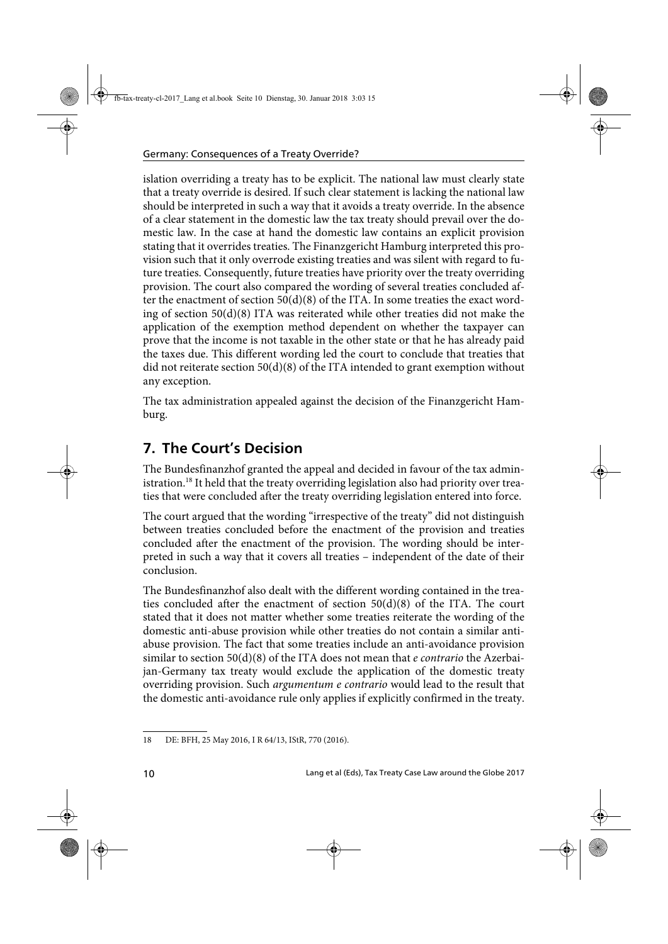islation overriding a treaty has to be explicit. The national law must clearly state that a treaty override is desired. If such clear statement is lacking the national law should be interpreted in such a way that it avoids a treaty override. In the absence of a clear statement in the domestic law the tax treaty should prevail over the domestic law. In the case at hand the domestic law contains an explicit provision stating that it overrides treaties. The Finanzgericht Hamburg interpreted this provision such that it only overrode existing treaties and was silent with regard to future treaties. Consequently, future treaties have priority over the treaty overriding provision. The court also compared the wording of several treaties concluded after the enactment of section  $50(d)(8)$  of the ITA. In some treaties the exact wording of section 50(d)(8) ITA was reiterated while other treaties did not make the application of the exemption method dependent on whether the taxpayer can prove that the income is not taxable in the other state or that he has already paid the taxes due. This different wording led the court to conclude that treaties that did not reiterate section  $50(d)(8)$  of the ITA intended to grant exemption without any exception.

The tax administration appealed against the decision of the Finanzgericht Hamburg.

## **7. The Court's Decision**

The Bundesfinanzhof granted the appeal and decided in favour of the tax administration.<sup>18</sup> It held that the treaty overriding legislation also had priority over treaties that were concluded after the treaty overriding legislation entered into force.

The court argued that the wording "irrespective of the treaty" did not distinguish between treaties concluded before the enactment of the provision and treaties concluded after the enactment of the provision. The wording should be interpreted in such a way that it covers all treaties – independent of the date of their conclusion.

The Bundesfinanzhof also dealt with the different wording contained in the treaties concluded after the enactment of section  $50(d)(8)$  of the ITA. The court stated that it does not matter whether some treaties reiterate the wording of the domestic anti-abuse provision while other treaties do not contain a similar antiabuse provision. The fact that some treaties include an anti-avoidance provision similar to section  $50(d)(8)$  of the ITA does not mean that *e contrario* the Azerbaijan-Germany tax treaty would exclude the application of the domestic treaty overriding provision. Such argumentum e contrario would lead to the result that the domestic anti-avoidance rule only applies if explicitly confirmed in the treaty.

<sup>18</sup> DE: BFH, 25 May 2016, I R 64/13, IStR, 770 (2016).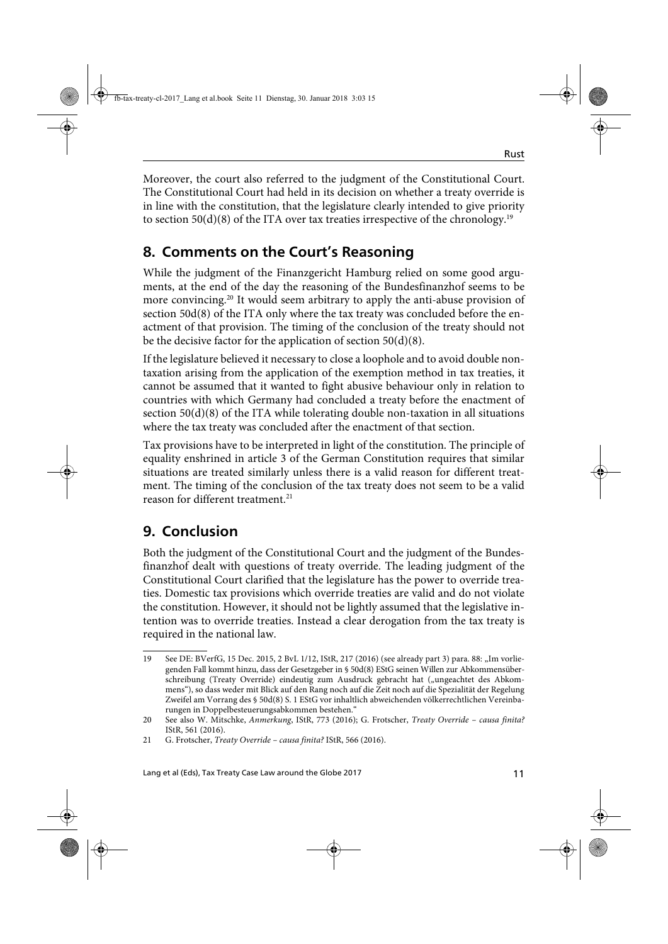Moreover, the court also referred to the judgment of the Constitutional Court. The Constitutional Court had held in its decision on whether a treaty override is in line with the constitution, that the legislature clearly intended to give priority to section 50(d)(8) of the ITA over tax treaties irrespective of the chronology.<sup>19</sup>

### **8. Comments on the Court's Reasoning**

While the judgment of the Finanzgericht Hamburg relied on some good arguments, at the end of the day the reasoning of the Bundesfinanzhof seems to be more convincing.<sup>20</sup> It would seem arbitrary to apply the anti-abuse provision of section 50d(8) of the ITA only where the tax treaty was concluded before the enactment of that provision. The timing of the conclusion of the treaty should not be the decisive factor for the application of section 50(d)(8).

If the legislature believed it necessary to close a loophole and to avoid double nontaxation arising from the application of the exemption method in tax treaties, it cannot be assumed that it wanted to fight abusive behaviour only in relation to countries with which Germany had concluded a treaty before the enactment of section  $50(d)(8)$  of the ITA while tolerating double non-taxation in all situations where the tax treaty was concluded after the enactment of that section.

Tax provisions have to be interpreted in light of the constitution. The principle of equality enshrined in article 3 of the German Constitution requires that similar situations are treated similarly unless there is a valid reason for different treatment. The timing of the conclusion of the tax treaty does not seem to be a valid reason for different treatment.<sup>21</sup>

# **9. Conclusion**

Both the judgment of the Constitutional Court and the judgment of the Bundesfinanzhof dealt with questions of treaty override. The leading judgment of the Constitutional Court clarified that the legislature has the power to override treaties. Domestic tax provisions which override treaties are valid and do not violate the constitution. However, it should not be lightly assumed that the legislative intention was to override treaties. Instead a clear derogation from the tax treaty is required in the national law.

<sup>19</sup> See DE: BVerfG, 15 Dec. 2015, 2 BvL 1/12, IStR, 217 (2016) (see already part 3) para. 88: "Im vorliegenden Fall kommt hinzu, dass der Gesetzgeber in § 50d(8) EStG seinen Willen zur Abkommensüberschreibung (Treaty Override) eindeutig zum Ausdruck gebracht hat ("ungeachtet des Abkommens"), so dass weder mit Blick auf den Rang noch auf die Zeit noch auf die Spezialität der Regelung Zweifel am Vorrang des § 50d(8) S. 1 EStG vor inhaltlich abweichenden völkerrechtlichen Vereinbarungen in Doppelbesteuerungsabkommen bestehen."

<sup>20</sup> See also W. Mitschke, Anmerkung, IStR, 773 (2016); G. Frotscher, Treaty Override – causa finita? IStR, 561 (2016).

<sup>21</sup> G. Frotscher, Treaty Override - causa finita? IStR, 566 (2016).